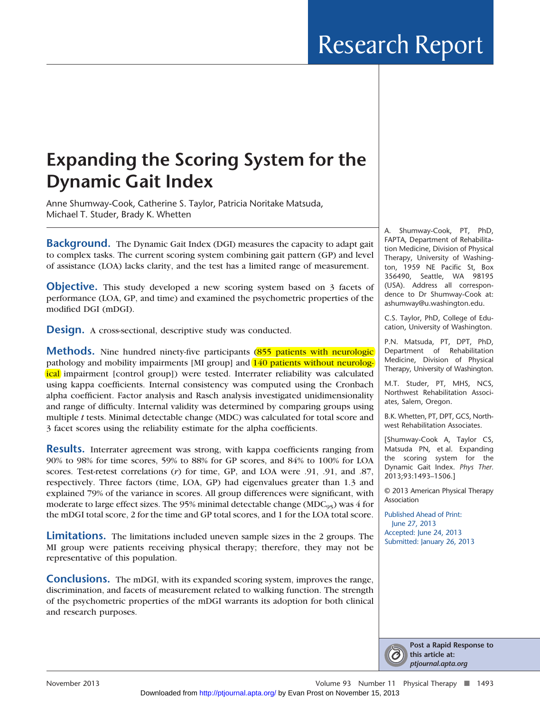# **Expanding the Scoring System for the Dynamic Gait Index**

Anne Shumway-Cook, Catherine S. Taylor, Patricia Noritake Matsuda, Michael T. Studer, Brady K. Whetten

**Background.** The Dynamic Gait Index (DGI) measures the capacity to adapt gait to complex tasks. The current scoring system combining gait pattern (GP) and level of assistance (LOA) lacks clarity, and the test has a limited range of measurement.

**Objective.** This study developed a new scoring system based on 3 facets of performance (LOA, GP, and time) and examined the psychometric properties of the modified DGI (mDGI).

**Design.** A cross-sectional, descriptive study was conducted.

**Methods.** Nine hundred ninety-five participants (855 patients with neurologic pathology and mobility impairments [MI group] and 140 patients without neurological impairment [control group]) were tested. Interrater reliability was calculated using kappa coefficients. Internal consistency was computed using the Cronbach alpha coefficient. Factor analysis and Rasch analysis investigated unidimensionality and range of difficulty. Internal validity was determined by comparing groups using multiple *t* tests. Minimal detectable change (MDC) was calculated for total score and 3 facet scores using the reliability estimate for the alpha coefficients.

**Results.** Interrater agreement was strong, with kappa coefficients ranging from 90% to 98% for time scores, 59% to 88% for GP scores, and 84% to 100% for LOA scores. Test-retest correlations (*r*) for time, GP, and LOA were .91, .91, and .87, respectively. Three factors (time, LOA, GP) had eigenvalues greater than 1.3 and explained 79% of the variance in scores. All group differences were significant, with moderate to large effect sizes. The 95% minimal detectable change ( $MDC_{95}$ ) was 4 for the mDGI total score, 2 for the time and GP total scores, and 1 for the LOA total score.

**Limitations.** The limitations included uneven sample sizes in the 2 groups. The MI group were patients receiving physical therapy; therefore, they may not be representative of this population.

**Conclusions.** The mDGI, with its expanded scoring system, improves the range, discrimination, and facets of measurement related to walking function. The strength of the psychometric properties of the mDGI warrants its adoption for both clinical and research purposes.

A. Shumway-Cook, PT, PhD, FAPTA, Department of Rehabilitation Medicine, Division of Physical Therapy, University of Washington, 1959 NE Pacific St, Box 356490, Seattle, WA 98195 (USA). Address all correspondence to Dr Shumway-Cook at: ashumway@u.washington.edu.

C.S. Taylor, PhD, College of Education, University of Washington.

P.N. Matsuda, PT, DPT, PhD, Department of Rehabilitation Medicine, Division of Physical Therapy, University of Washington.

M.T. Studer, PT, MHS, NCS, Northwest Rehabilitation Associates, Salem, Oregon.

B.K. Whetten, PT, DPT, GCS, Northwest Rehabilitation Associates.

[Shumway-Cook A, Taylor CS, Matsuda PN, et al. Expanding the scoring system for the Dynamic Gait Index. *Phys Ther.* 2013;93:1493–1506.]

© 2013 American Physical Therapy Association

Published Ahead of Print: June 27, 2013 Accepted: June 24, 2013 Submitted: January 26, 2013

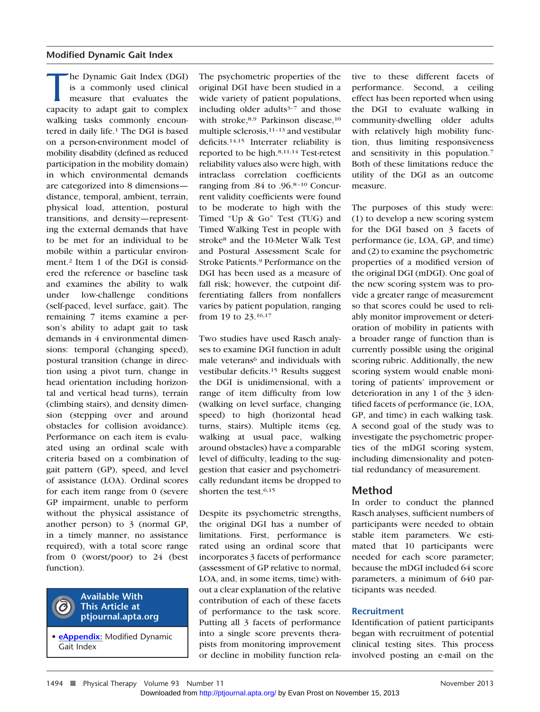The Dynamic Gait Index (DGI)<br>is a commonly used clinical<br>measure that evaluates the<br>capacity to adapt gait to complex is a commonly used clinical measure that evaluates the walking tasks commonly encountered in daily life.<sup>1</sup> The DGI is based on a person-environment model of mobility disability (defined as reduced participation in the mobility domain) in which environmental demands are categorized into 8 dimensions distance, temporal, ambient, terrain, physical load, attention, postural transitions, and density—representing the external demands that have to be met for an individual to be mobile within a particular environment.2 Item 1 of the DGI is considered the reference or baseline task and examines the ability to walk under low-challenge conditions (self-paced, level surface, gait). The remaining 7 items examine a person's ability to adapt gait to task demands in 4 environmental dimensions: temporal (changing speed), postural transition (change in direction using a pivot turn, change in head orientation including horizontal and vertical head turns), terrain (climbing stairs), and density dimension (stepping over and around obstacles for collision avoidance). Performance on each item is evaluated using an ordinal scale with criteria based on a combination of gait pattern (GP), speed, and level of assistance (LOA). Ordinal scores for each item range from 0 (severe GP impairment, unable to perform without the physical assistance of another person) to 3 (normal GP, in a timely manner, no assistance required), with a total score range from 0 (worst/poor) to 24 (best function).



**• [eAppendix:](http://ptjournal.apta.org/content/93/11/1493/suppl/DC1)** Modified Dynamic Gait Index

The psychometric properties of the original DGI have been studied in a wide variety of patient populations, including older adults<sup>3-7</sup> and those with stroke, 8,9 Parkinson disease, 10 multiple sclerosis,<sup>11-13</sup> and vestibular deficits.14,15 Interrater reliability is reported to be high.8,11,14 Test-retest reliability values also were high, with intraclass correlation coefficients ranging from .84 to .96.8-10 Concurrent validity coefficients were found to be moderate to high with the Timed "Up & Go" Test (TUG) and Timed Walking Test in people with stroke8 and the 10-Meter Walk Test and Postural Assessment Scale for Stroke Patients.9 Performance on the DGI has been used as a measure of fall risk; however, the cutpoint differentiating fallers from nonfallers varies by patient population, ranging from 19 to 23.16,17

Two studies have used Rasch analyses to examine DGI function in adult male veterans<sup>6</sup> and individuals with vestibular deficits.15 Results suggest the DGI is unidimensional, with a range of item difficulty from low (walking on level surface, changing speed) to high (horizontal head turns, stairs). Multiple items (eg, walking at usual pace, walking around obstacles) have a comparable level of difficulty, leading to the suggestion that easier and psychometrically redundant items be dropped to shorten the test.6,15

Despite its psychometric strengths, the original DGI has a number of limitations. First, performance is rated using an ordinal score that incorporates 3 facets of performance (assessment of GP relative to normal, LOA, and, in some items, time) without a clear explanation of the relative contribution of each of these facets of performance to the task score. Putting all 3 facets of performance into a single score prevents therapists from monitoring improvement or decline in mob[ility function rela-](http://ptjournal.apta.org/) tive to these different facets of performance. Second, a ceiling effect has been reported when using the DGI to evaluate walking in community-dwelling older adults with relatively high mobility function, thus limiting responsiveness and sensitivity in this population.7 Both of these limitations reduce the utility of the DGI as an outcome measure.

The purposes of this study were: (1) to develop a new scoring system for the DGI based on 3 facets of performance (ie, LOA, GP, and time) and (2) to examine the psychometric properties of a modified version of the original DGI (mDGI). One goal of the new scoring system was to provide a greater range of measurement so that scores could be used to reliably monitor improvement or deterioration of mobility in patients with a broader range of function than is currently possible using the original scoring rubric. Additionally, the new scoring system would enable monitoring of patients' improvement or deterioration in any 1 of the 3 identified facets of performance (ie, LOA, GP, and time) in each walking task. A second goal of the study was to investigate the psychometric properties of the mDGI scoring system, including dimensionality and potential redundancy of measurement.

## **Method**

In order to conduct the planned Rasch analyses, sufficient numbers of participants were needed to obtain stable item parameters. We estimated that 10 participants were needed for each score parameter; because the mDGI included 64 score parameters, a minimum of 640 participants was needed.

## **Recruitment**

Identification of patient participants began with recruitment of potential clinical testing sites. This process involved posting an e-mail on the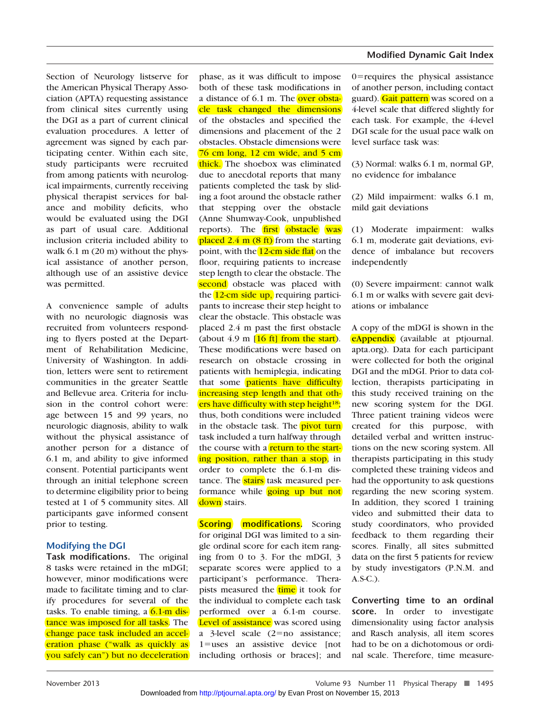Section of Neurology listserve for the American Physical Therapy Association (APTA) requesting assistance from clinical sites currently using the DGI as a part of current clinical evaluation procedures. A letter of agreement was signed by each participating center. Within each site, study participants were recruited from among patients with neurological impairments, currently receiving physical therapist services for balance and mobility deficits, who would be evaluated using the DGI as part of usual care. Additional inclusion criteria included ability to walk 6.1 m (20 m) without the physical assistance of another person, although use of an assistive device was permitted.

A convenience sample of adults with no neurologic diagnosis was recruited from volunteers responding to flyers posted at the Department of Rehabilitation Medicine, University of Washington. In addition, letters were sent to retirement communities in the greater Seattle and Bellevue area. Criteria for inclusion in the control cohort were: age between 15 and 99 years, no neurologic diagnosis, ability to walk without the physical assistance of another person for a distance of 6.1 m, and ability to give informed consent. Potential participants went through an initial telephone screen to determine eligibility prior to being tested at 1 of 5 community sites. All participants gave informed consent prior to testing.

## **Modifying the DGI**

**Task modifications.** The original 8 tasks were retained in the mDGI; however, minor modifications were made to facilitate timing and to clarify procedures for several of the tasks. To enable timing,  $a \times 6.1$ -m distance was imposed for all tasks. The change pace task included an acceleration phase ("walk as quickly as you safely can") but no deceleration

phase, as it was difficult to impose both of these task modifications in a distance of 6.1 m. The over obstacle task changed the dimensions of the obstacles and specified the dimensions and placement of the 2 obstacles. Obstacle dimensions were 76 cm long, 12 cm wide, and 5 cm thick. The shoebox was eliminated due to anecdotal reports that many patients completed the task by sliding a foot around the obstacle rather that stepping over the obstacle (Anne Shumway-Cook, unpublished reports). The first obstacle was placed  $2.4 \text{ m}$  (8 ft) from the starting point, with the 12-cm side flat on the floor, requiring patients to increase step length to clear the obstacle. The second obstacle was placed with the  $12$ -cm side up, requiring participants to increase their step height to clear the obstacle. This obstacle was placed 2.4 m past the first obstacle (about 4.9 m  $[16 \text{ ft}]$  from the start). These modifications were based on research on obstacle crossing in patients with hemiplegia, indicating that some **patients** have difficulty increasing step length and that others have difficulty with step height<sup>18</sup>; thus, both conditions were included in the obstacle task. The pivot turn task included a turn halfway through the course with a return to the starting position, rather than a stop, in order to complete the 6.1-m distance. The stairs task measured performance while **going up but not** down stairs.

**Scoring modifications.** Scoring for original DGI was limited to a single ordinal score for each item ranging from 0 to 3. For the mDGI, 3 separate scores were applied to a participant's performance. Therapists measured the time it took for the individual to complete each task performed over a 6.1-m course. Level of assistance was scored using a 3-level scale (2=no assistance; 1-uses an assistive device [not including orthosi[s or braces\]; and](http://ptjournal.apta.org/)

## **Modified Dynamic Gait Index**

0=requires the physical assistance of another person, including contact guard). Gait pattern was scored on a 4-level scale that differed slightly for each task. For example, the 4-level DGI scale for the usual pace walk on level surface task was:

(3) Normal: walks 6.1 m, normal GP, no evidence for imbalance

(2) Mild impairment: walks 6.1 m, mild gait deviations

(1) Moderate impairment: walks 6.1 m, moderate gait deviations, evidence of imbalance but recovers independently

(0) Severe impairment: cannot walk 6.1 m or walks with severe gait deviations or imbalance

A copy of the mDGI is shown in the **[eAppendix](http://ptjournal.apta.org/content/93/11/1493/suppl/DC1)** (available at ptjournal. apta.org). Data for each participant were collected for both the original DGI and the mDGI. Prior to data collection, therapists participating in this study received training on the new scoring system for the DGI. Three patient training videos were created for this purpose, with detailed verbal and written instructions on the new scoring system. All therapists participating in this study completed these training videos and had the opportunity to ask questions regarding the new scoring system. In addition, they scored 1 training video and submitted their data to study coordinators, who provided feedback to them regarding their scores. Finally, all sites submitted data on the first 5 patients for review by study investigators (P.N.M. and A.S-C.).

**Converting time to an ordinal** score. In order to investigate dimensionality using factor analysis and Rasch analysis, all item scores had to be on a dichotomous or ordinal scale. Therefore, time measure-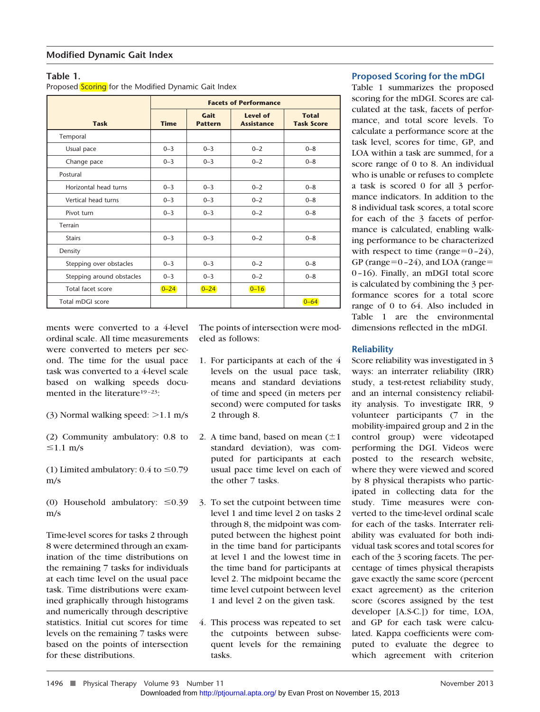#### **Table 1.**

Proposed Scoring for the Modified Dynamic Gait Index

|                           |             | <b>Facets of Performance</b> |                                      |                                   |  |  |  |  |  |
|---------------------------|-------------|------------------------------|--------------------------------------|-----------------------------------|--|--|--|--|--|
| <b>Task</b>               | <b>Time</b> | Gait<br><b>Pattern</b>       | <b>Level of</b><br><b>Assistance</b> | <b>Total</b><br><b>Task Score</b> |  |  |  |  |  |
| Temporal                  |             |                              |                                      |                                   |  |  |  |  |  |
| Usual pace                | $0 - 3$     | $0 - 3$                      | $0 - 2$                              | $0 - 8$                           |  |  |  |  |  |
| Change pace               | $0 - 3$     | $0 - 3$                      | $0 - 2$                              | $0 - 8$                           |  |  |  |  |  |
| Postural                  |             |                              |                                      |                                   |  |  |  |  |  |
| Horizontal head turns     | $0 - 3$     | $0 - 3$                      | $0 - 2$                              | $0 - 8$                           |  |  |  |  |  |
| Vertical head turns       | $0 - 3$     | $0 - 3$                      | $0 - 2$                              | $0 - 8$                           |  |  |  |  |  |
| Pivot turn                | $0 - 3$     | $0 - 3$                      | $0 - 2$                              | $0 - 8$                           |  |  |  |  |  |
| Terrain                   |             |                              |                                      |                                   |  |  |  |  |  |
| <b>Stairs</b>             | $0 - 3$     | $0 - 3$                      | $0 - 2$                              | $0 - 8$                           |  |  |  |  |  |
| Density                   |             |                              |                                      |                                   |  |  |  |  |  |
| Stepping over obstacles   | $0 - 3$     | $0 - 3$                      | $0 - 2$                              | $0 - 8$                           |  |  |  |  |  |
| Stepping around obstacles | $0 - 3$     | $0 - 3$                      | $0 - 2$                              | $0 - 8$                           |  |  |  |  |  |
| Total facet score         | $0 - 24$    | $0 - 24$                     | $0 - 16$                             |                                   |  |  |  |  |  |
| Total mDGI score          |             |                              |                                      | $0 - 64$                          |  |  |  |  |  |

ments were converted to a 4-level ordinal scale. All time measurements were converted to meters per second. The time for the usual pace task was converted to a 4-level scale based on walking speeds documented in the literature<sup>19-23</sup>:

(3) Normal walking speed:  $>1.1$  m/s

(2) Community ambulatory: 0.8 to  $\leq$ 1.1 m/s

(1) Limited ambulatory:  $0.4$  to  $\leq 0.79$ m/s

(0) Household ambulatory:  $\leq 0.39$ m/s

Time-level scores for tasks 2 through 8 were determined through an examination of the time distributions on the remaining 7 tasks for individuals at each time level on the usual pace task. Time distributions were examined graphically through histograms and numerically through descriptive statistics. Initial cut scores for time levels on the remaining 7 tasks were based on the points of intersection for these distributions.

The points of intersection were modeled as follows:

- 1. For participants at each of the 4 levels on the usual pace task, means and standard deviations of time and speed (in meters per second) were computed for tasks 2 through 8.
- 2. A time band, based on mean  $(\pm 1)$ standard deviation), was computed for participants at each usual pace time level on each of the other 7 tasks.
- 3. To set the cutpoint between time level 1 and time level 2 on tasks 2 through 8, the midpoint was computed between the highest point in the time band for participants at level 1 and the lowest time in the time band for participants at level 2. The midpoint became the time level cutpoint between level 1 and level 2 on the given task.
- 4. This process was repeated to set the cutpoints between subsequent levels for the remaining tasks.

## **Proposed Scoring for the mDGI**

Table 1 summarizes the proposed scoring for the mDGI. Scores are calculated at the task, facets of performance, and total score levels. To calculate a performance score at the task level, scores for time, GP, and LOA within a task are summed, for a score range of 0 to 8. An individual who is unable or refuses to complete a task is scored 0 for all 3 performance indicators. In addition to the 8 individual task scores, a total score for each of the 3 facets of performance is calculated, enabling walking performance to be characterized with respect to time (range= $0-24$ ), GP (range= $0-24$ ), and LOA (range= 0 –16). Finally, an mDGI total score is calculated by combining the 3 performance scores for a total score range of 0 to 64. Also included in Table 1 are the environmental dimensions reflected in the mDGI.

## **Reliability**

Score reliability was investigated in 3 ways: an interrater reliability (IRR) study, a test-retest reliability study, and an internal consistency reliability analysis. To investigate IRR, 9 volunteer participants (7 in the mobility-impaired group and 2 in the control group) were videotaped performing the DGI. Videos were posted to the research website, where they were viewed and scored by 8 physical therapists who participated in collecting data for the study. Time measures were converted to the time-level ordinal scale for each of the tasks. Interrater reliability was evaluated for both individual task scores and total scores for each of the 3 scoring facets. The percentage of times physical therapists gave exactly the same score (percent exact agreement) as the criterion score (scores assigned by the test developer [A.S-C.]) for time, LOA, and GP for each task were calculated. Kappa coefficients were computed to evaluate the degree to [w](http://ptjournal.apta.org/)hich agreement with criterion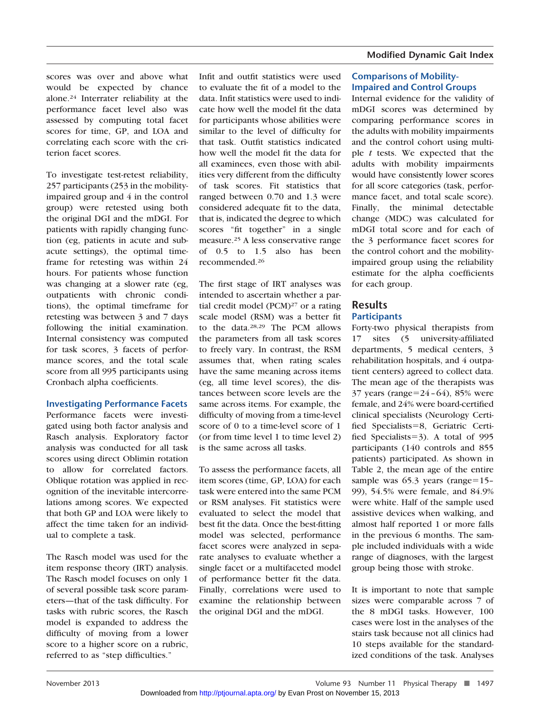scores was over and above what would be expected by chance alone.24 Interrater reliability at the performance facet level also was assessed by computing total facet scores for time, GP, and LOA and correlating each score with the criterion facet scores.

To investigate test-retest reliability, 257 participants (253 in the mobilityimpaired group and 4 in the control group) were retested using both the original DGI and the mDGI. For patients with rapidly changing function (eg, patients in acute and subacute settings), the optimal timeframe for retesting was within 24 hours. For patients whose function was changing at a slower rate (eg, outpatients with chronic conditions), the optimal timeframe for retesting was between 3 and 7 days following the initial examination. Internal consistency was computed for task scores, 3 facets of performance scores, and the total scale score from all 995 participants using Cronbach alpha coefficients.

## **Investigating Performance Facets**

Performance facets were investigated using both factor analysis and Rasch analysis. Exploratory factor analysis was conducted for all task scores using direct Oblimin rotation to allow for correlated factors. Oblique rotation was applied in recognition of the inevitable intercorrelations among scores. We expected that both GP and LOA were likely to affect the time taken for an individual to complete a task.

The Rasch model was used for the item response theory (IRT) analysis. The Rasch model focuses on only 1 of several possible task score parameters—that of the task difficulty. For tasks with rubric scores, the Rasch model is expanded to address the difficulty of moving from a lower score to a higher score on a rubric, referred to as "step difficulties."

Infit and outfit statistics were used to evaluate the fit of a model to the data. Infit statistics were used to indicate how well the model fit the data for participants whose abilities were similar to the level of difficulty for that task. Outfit statistics indicated how well the model fit the data for all examinees, even those with abilities very different from the difficulty of task scores. Fit statistics that ranged between 0.70 and 1.3 were considered adequate fit to the data, that is, indicated the degree to which scores "fit together" in a single measure.25 A less conservative range of 0.5 to 1.5 also has been recommended.26

The first stage of IRT analyses was intended to ascertain whether a partial credit model (PCM) $27$  or a rating scale model (RSM) was a better fit to the data.28,29 The PCM allows the parameters from all task scores to freely vary. In contrast, the RSM assumes that, when rating scales have the same meaning across items (eg, all time level scores), the distances between score levels are the same across items. For example, the difficulty of moving from a time-level score of 0 to a time-level score of 1 (or from time level 1 to time level 2) is the same across all tasks.

To assess the performance facets, all item scores (time, GP, LOA) for each task were entered into the same PCM or RSM analyses. Fit statistics were evaluated to select the model that best fit the data. Once the best-fitting model was selected, performance facet scores were analyzed in separate analyses to evaluate whether a single facet or a multifaceted model of performance better fit the data. Finally, correlations were used to examine the relationship between the original DGI and the mDGI.

## **Comparisons of Mobility-Impaired and Control Groups**

Internal evidence for the validity of mDGI scores was determined by comparing performance scores in the adults with mobility impairments and the control cohort using multiple *t* tests. We expected that the adults with mobility impairments would have consistently lower scores for all score categories (task, performance facet, and total scale score). Finally, the minimal detectable change (MDC) was calculated for mDGI total score and for each of the 3 performance facet scores for the control cohort and the mobilityimpaired group using the reliability estimate for the alpha coefficients for each group.

## **Results Participants**

Forty-two physical therapists from 17 sites (5 university-affiliated departments, 5 medical centers, 3 rehabilitation hospitals, and 4 outpatient centers) agreed to collect data. The mean age of the therapists was 37 years (range-24 – 64), 85% were female, and 24% were board-certified clinical specialists (Neurology Certified Specialists-8, Geriatric Certified Specialists=3). A total of 995 participants (140 controls and 855 patients) participated. As shown in Table 2, the mean age of the entire sample was 65.3 years (range=15-99), 54.5% were female, and 84.9% were white. Half of the sample used assistive devices when walking, and almost half reported 1 or more falls in the previous 6 months. The sample included individuals with a wide range of diagnoses, with the largest group being those with stroke.

It is important to note that sample sizes were comparable across 7 of the 8 mDGI tasks. However, 100 cases were lost in the analyses of the stairs task because not all clinics had 10 steps available for the standard[i](http://ptjournal.apta.org/)zed conditions of the task. Analyses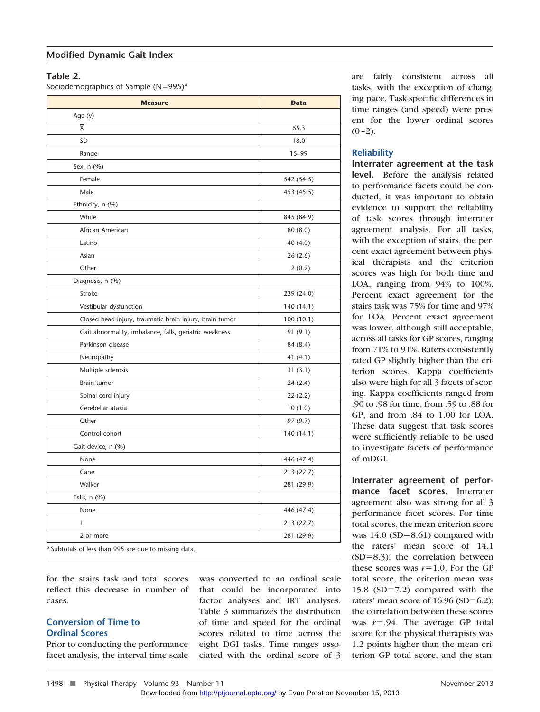## **Table 2.**

Sociodemographics of Sample (N=995)<sup>a</sup>

| <b>Measure</b>                                          | <b>Data</b> |
|---------------------------------------------------------|-------------|
| Age (y)                                                 |             |
| $\overline{\mathsf{x}}$                                 | 65.3        |
| SD                                                      | 18.0        |
| Range                                                   | $15 - 99$   |
| Sex, n (%)                                              |             |
| Female                                                  | 542 (54.5)  |
| Male                                                    | 453 (45.5)  |
| Ethnicity, n (%)                                        |             |
| White                                                   | 845 (84.9)  |
| African American                                        | 80(8.0)     |
| Latino                                                  | 40 (4.0)    |
| Asian                                                   | 26(2.6)     |
| Other                                                   | 2(0.2)      |
| Diagnosis, n (%)                                        |             |
| Stroke                                                  | 239 (24.0)  |
| Vestibular dysfunction                                  | 140 (14.1)  |
| Closed head injury, traumatic brain injury, brain tumor | 100 (10.1)  |
| Gait abnormality, imbalance, falls, geriatric weakness  | 91 (9.1)    |
| Parkinson disease                                       | 84 (8.4)    |
| Neuropathy                                              | 41 (4.1)    |
| Multiple sclerosis                                      | 31(3.1)     |
| Brain tumor                                             | 24 (2.4)    |
| Spinal cord injury                                      | 22 (2.2)    |
| Cerebellar ataxia                                       | 10(1.0)     |
| Other                                                   | 97 (9.7)    |
| Control cohort                                          | 140 (14.1)  |
| Gait device, n (%)                                      |             |
| None                                                    | 446 (47.4)  |
| Cane                                                    | 213 (22.7)  |
| Walker                                                  | 281 (29.9)  |
| Falls, $n$ $(\%)$                                       |             |
| None                                                    | 446 (47.4)  |
| 1                                                       | 213 (22.7)  |
| 2 or more                                               | 281 (29.9)  |

are fairly consistent across all tasks, with the exception of changing pace. Task-specific differences in time ranges (and speed) were present for the lower ordinal scores  $(0-2)$ .

## **Reliability**

**Interrater agreement at the task level.** Before the analysis related to performance facets could be conducted, it was important to obtain evidence to support the reliability of task scores through interrater agreement analysis. For all tasks, with the exception of stairs, the percent exact agreement between physical therapists and the criterion scores was high for both time and LOA, ranging from 94% to 100%. Percent exact agreement for the stairs task was 75% for time and 97% for LOA. Percent exact agreement was lower, although still acceptable, across all tasks for GP scores, ranging from 71% to 91%. Raters consistently rated GP slightly higher than the criterion scores. Kappa coefficients also were high for all 3 facets of scoring. Kappa coefficients ranged from .90 to .98 for time, from .59 to .88 for GP, and from .84 to 1.00 for LOA. These data suggest that task scores were sufficiently reliable to be used to investigate facets of performance of mDGI.

**Interrater agreement of performance facet scores.** Interrater agreement also was strong for all 3 performance facet scores. For time total scores, the mean criterion score was 14.0 (SD=8.61) compared with the raters' mean score of 14.1 (SD-8.3); the correlation between these scores was  $r=1.0$ . For the GP total score, the criterion mean was 15.8 (SD-7.2) compared with the raters' mean score of 16.96 (SD=6.2); the correlation between these scores was  $r = 0.94$ . The average GP total score for the physical therapists was 1.2 points higher than the mean criterion GP total score, and the stan-

*<sup>a</sup>* Subtotals of less than 995 are due to missing data.

for the stairs task and total scores reflect this decrease in number of cases.

## **Conversion of Time to Ordinal Scores**

Prior to conducting the performance facet analysis, the interval time scale was converted to an ordinal scale that could be incorporated into factor analyses and IRT analyses. Table 3 summarizes the distribution of time and speed for the ordinal scores related to time across the eight DGI tasks. Time ranges associated with the [ordinal score of 3](http://ptjournal.apta.org/)

1498 **F** Physical Therapy Volume 93 Number 11 November 2013

Downloaded from<http://ptjournal.apta.org/>by Evan Prost on November 15, 2013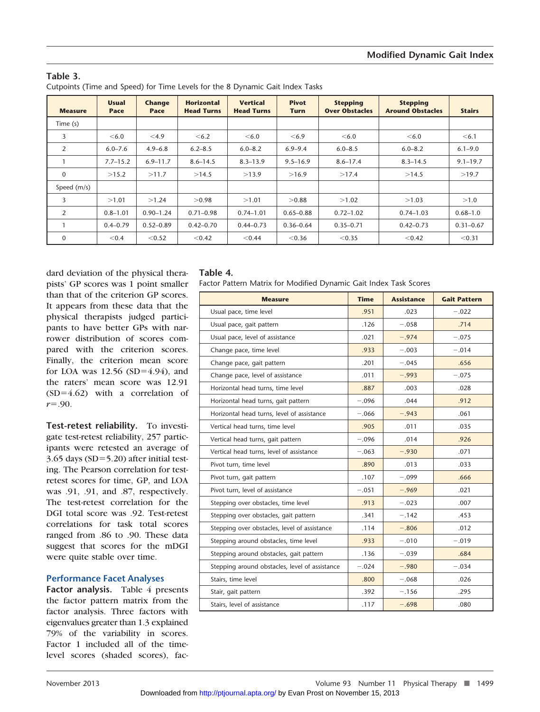| ı<br>н<br>٠, |
|--------------|
|--------------|

| <b>Measure</b> | <b>Usual</b><br><b>Change</b><br>Pace<br>Pace |               | <b>Horizontal</b><br><b>Head Turns</b> | <b>Vertical</b><br><b>Head Turns</b> | <b>Pivot</b><br><b>Turn</b> | <b>Stepping</b><br><b>Over Obstacles</b> | <b>Stepping</b><br><b>Around Obstacles</b> | <b>Stairs</b> |
|----------------|-----------------------------------------------|---------------|----------------------------------------|--------------------------------------|-----------------------------|------------------------------------------|--------------------------------------------|---------------|
| Time (s)       |                                               |               |                                        |                                      |                             |                                          |                                            |               |
| 3              | < 6.0                                         | $<$ 4.9       | < 6.2                                  | < 6.0                                | < 6.9                       | < 6.0                                    | < 6.0                                      | < 6.1         |
| 2              | $6.0 - 7.6$                                   | $4.9 - 6.8$   | $6.2 - 8.5$                            | $6.0 - 8.2$                          | $6.9 - 9.4$                 | $6.0 - 8.5$                              | $6.0 - 8.2$                                | $6.1 - 9.0$   |
|                | $7.7 - 15.2$                                  | $6.9 - 11.7$  | $8.6 - 14.5$                           | $8.3 - 13.9$                         | $9.5 - 16.9$                | $8.6 - 17.4$                             | $8.3 - 14.5$                               | $9.1 - 19.7$  |
| $\Omega$       | >15.2                                         | >11.7         | >14.5                                  | >13.9                                | >16.9                       | >17.4                                    | >14.5                                      | >19.7         |
| Speed $(m/s)$  |                                               |               |                                        |                                      |                             |                                          |                                            |               |
| 3              | >1.01                                         | >1.24         | >0.98                                  | >1.01                                | >0.88                       | >1.02                                    | >1.03                                      | >1.0          |
| 2              | $0.8 - 1.01$                                  | $0.90 - 1.24$ | $0.71 - 0.98$                          | $0.74 - 1.01$                        | $0.65 - 0.88$               | $0.72 - 1.02$                            | $0.74 - 1.03$                              | $0.68 - 1.0$  |
| $\mathbf{1}$   | $0.4 - 0.79$                                  | $0.52 - 0.89$ | $0.42 - 0.70$                          | $0.44 - 0.73$                        | $0.36 - 0.64$               | $0.35 - 0.71$                            | $0.42 - 0.73$                              | $0.31 - 0.67$ |
| $\mathbf{0}$   | < 0.4                                         | < 0.52        | < 0.42                                 | < 0.44                               | < 0.36                      | < 0.35                                   | < 0.42                                     | < 0.31        |

|  |  | Cutpoints (Time and Speed) for Time Levels for the 8 Dynamic Gait Index Tasks |  |  |
|--|--|-------------------------------------------------------------------------------|--|--|
|  |  |                                                                               |  |  |

dard deviation of the physical therapists' GP scores was 1 point smaller than that of the criterion GP scores. It appears from these data that the physical therapists judged participants to have better GPs with narrower distribution of scores compared with the criterion scores. Finally, the criterion mean score for LOA was  $12.56$  (SD=4.94), and the raters' mean score was 12.91 (SD-4.62) with a correlation of *r*-.90.

**Test-retest reliability.** To investigate test-retest reliability, 257 participants were retested an average of 3.65 days (SD-5.20) after initial testing. The Pearson correlation for testretest scores for time, GP, and LOA was .91, .91, and .87, respectively. The test-retest correlation for the DGI total score was .92. Test-retest correlations for task total scores ranged from .86 to .90. These data suggest that scores for the mDGI were quite stable over time.

## **Performance Facet Analyses**

Factor analysis. Table 4 presents the factor pattern matrix from the factor analysis. Three factors with eigenvalues greater than 1.3 explained 79% of the variability in scores. Factor 1 included all of the timelevel scores (shaded scores), fac-

| Table 4.                                                          |  |  |  |  |
|-------------------------------------------------------------------|--|--|--|--|
| Factor Pattern Matrix for Modified Dynamic Gait Index Task Scores |  |  |  |  |

| <b>Measure</b>                                 | <b>Time</b> | <b>Assistance</b> | <b>Gait Pattern</b> |
|------------------------------------------------|-------------|-------------------|---------------------|
| Usual pace, time level                         | .951        | .023              | $-.022$             |
| Usual pace, gait pattern                       | .126        | $-.058$           | .714                |
| Usual pace, level of assistance                | .021        | $-.974$           | $-.075$             |
| Change pace, time level                        | .933        | $-.003$           | $-.014$             |
| Change pace, gait pattern                      | .201        | $-.045$           | .656                |
| Change pace, level of assistance               | .011        | $-.993$           | $-.075$             |
| Horizontal head turns, time level              | .887        | .003              | .028                |
| Horizontal head turns, gait pattern            | $-.096$     | .044              | .912                |
| Horizontal head turns, level of assistance     | $-.066$     | $-.943$           | .061                |
| Vertical head turns, time level                | .905        | .011              | .035                |
| Vertical head turns, gait pattern              | $-.096$     | .014              | .926                |
| Vertical head turns, level of assistance       | $-.063$     | $-.930$           | .071                |
| Pivot turn, time level                         | .890        | .013              | .033                |
| Pivot turn, gait pattern                       | .107        | $-.099$           | .666                |
| Pivot turn, level of assistance                | $-.051$     | $-.969$           | .021                |
| Stepping over obstacles, time level            | .913        | $-.023$           | .007                |
| Stepping over obstacles, gait pattern          | .341        | $-.142$           | .453                |
| Stepping over obstacles, level of assistance   | .114        | $-.806$           | .012                |
| Stepping around obstacles, time level          | .933        | $-.010$           | $-.019$             |
| Stepping around obstacles, gait pattern        | .136        | $-.039$           | .684                |
| Stepping around obstacles, level of assistance | $-.024$     | $-.980$           | $-.034$             |
| Stairs, time level                             | .800        | $-.068$           | .026                |
| Stair, gait pattern                            | .392        | $-.156$           | .295                |
| Stairs, level of assistance                    | .117        | $-.698$           | .080                |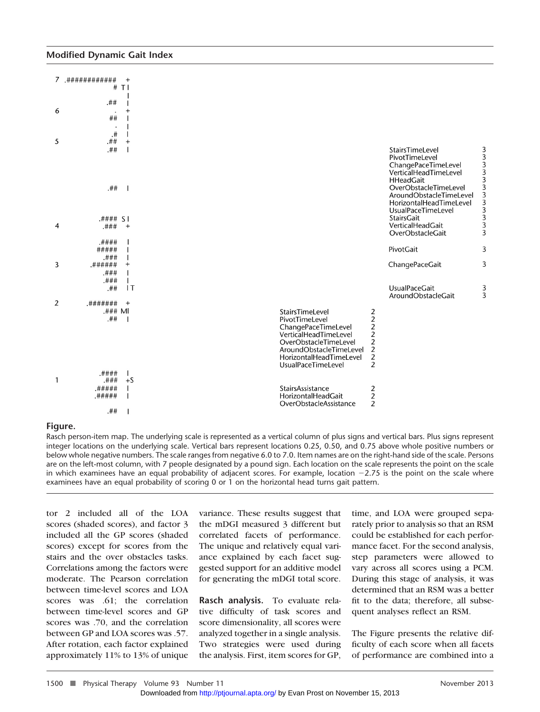|   | 7 .#############                          | $^{+}$<br>#T                       |                                                                                                                                                                                        |                                                                              |                                                                                                                                            |                                 |
|---|-------------------------------------------|------------------------------------|----------------------------------------------------------------------------------------------------------------------------------------------------------------------------------------|------------------------------------------------------------------------------|--------------------------------------------------------------------------------------------------------------------------------------------|---------------------------------|
| 6 | .##<br>$\bullet$<br>##<br>$\bullet$<br>.# | $^{+}$                             |                                                                                                                                                                                        |                                                                              |                                                                                                                                            |                                 |
| 5 | .##<br>.##                                | $^{+}$<br>T                        |                                                                                                                                                                                        |                                                                              | StairsTimeLevel<br>PivotTimeLevel<br>ChangePaceTimeLevel<br>VerticalHeadTimeLevel<br><b>HHeadGait</b>                                      | 3333<br>$\overline{\mathbf{3}}$ |
| 4 | . ##<br>$. # # # * S I$<br>. # ##         | $\overline{\phantom{a}}$<br>$^{+}$ |                                                                                                                                                                                        |                                                                              | OverObstacleTimeLevel<br>AroundObstacleTimeLevel<br>HorizontalHeadTimeLevel<br><b>UsualPaceTimeLevel</b><br>StairsGait<br>VerticalHeadGait | 3333<br>$\frac{3}{3}$           |
|   | .####                                     |                                    |                                                                                                                                                                                        |                                                                              | OverObstacleGait                                                                                                                           | $\overline{\mathbf{3}}$         |
|   | #####<br>.###                             |                                    |                                                                                                                                                                                        |                                                                              | PivotGait                                                                                                                                  | 3                               |
| 3 | .######                                   | $^{+}$                             |                                                                                                                                                                                        |                                                                              | ChangePaceGait                                                                                                                             | 3                               |
|   | .###<br>.###<br>.##                       | $\mathsf{I}$ T                     |                                                                                                                                                                                        |                                                                              | <b>UsualPaceGait</b><br>AroundObstacleGait                                                                                                 | 3<br>3                          |
| 2 | .#######                                  | $\ddot{}$                          |                                                                                                                                                                                        |                                                                              |                                                                                                                                            |                                 |
|   | $. ###$ MI<br>.##                         | $\overline{\phantom{a}}$           | StairsTimeLevel<br>PivotTimeLevel<br>ChangePaceTimeLevel<br>VerticalHeadTimeLevel<br>OverObstacleTimeLevel<br>AroundObstacleTimeLevel<br>HorizontalHeadTimeLevel<br>UsualPaceTimeLevel | $\frac{2}{2}$<br>$\frac{2}{2}$<br>2<br>$\overline{2}$<br>2<br>$\overline{2}$ |                                                                                                                                            |                                 |
| 1 | .####<br>.###                             | $\mathbf{I}$<br>$+S$               |                                                                                                                                                                                        |                                                                              |                                                                                                                                            |                                 |
|   | .#####<br>.#####                          |                                    | StairsAssistance<br>HorizontalHeadGait<br>OverObstacleAssistance                                                                                                                       | 2<br>$\overline{2}$<br>2                                                     |                                                                                                                                            |                                 |
|   | .##                                       | I                                  |                                                                                                                                                                                        |                                                                              |                                                                                                                                            |                                 |

#### **Figure.**

Rasch person-item map. The underlying scale is represented as a vertical column of plus signs and vertical bars. Plus signs represent integer locations on the underlying scale. Vertical bars represent locations 0.25, 0.50, and 0.75 above whole positive numbers or below whole negative numbers. The scale ranges from negative 6.0 to 7.0. Item names are on the right-hand side of the scale. Persons are on the left-most column, with 7 people designated by a pound sign. Each location on the scale represents the point on the scale in which examinees have an equal probability of adjacent scores. For example, location  $-2.75$  is the point on the scale where examinees have an equal probability of scoring 0 or 1 on the horizontal head turns gait pattern.

tor 2 included all of the LOA scores (shaded scores), and factor 3 included all the GP scores (shaded scores) except for scores from the stairs and the over obstacles tasks. Correlations among the factors were moderate. The Pearson correlation between time-level scores and LOA scores was .61; the correlation between time-level scores and GP scores was .70, and the correlation between GP and LOA scores was .57. After rotation, each factor explained approximately 11% to 13% of unique

variance. These results suggest that the mDGI measured 3 different but correlated facets of performance. The unique and relatively equal variance explained by each facet suggested support for an additive model for generating the mDGI total score.

**Rasch analysis.** To evaluate relative difficulty of task scores and score dimensionality, all scores were analyzed together in a single analysis. Two strategies were used during the analysis. First, [item scores for GP,](http://ptjournal.apta.org/)

time, and LOA were grouped separately prior to analysis so that an RSM could be established for each performance facet. For the second analysis, step parameters were allowed to vary across all scores using a PCM. During this stage of analysis, it was determined that an RSM was a better fit to the data; therefore, all subsequent analyses reflect an RSM.

The Figure presents the relative difficulty of each score when all facets of performance are combined into a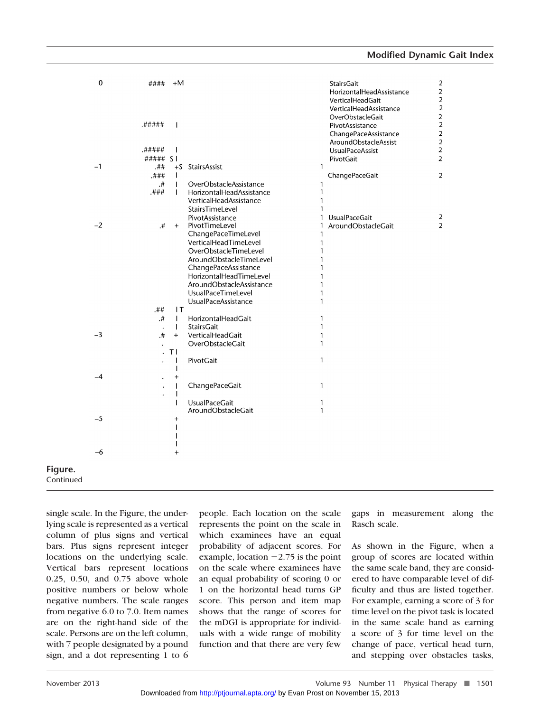|                      | 0    | ####                 | $+M$         |                                     | <b>StairsGait</b><br>HorizontalHeadAssistance<br>VerticalHeadGait<br>VerticalHeadAssistance | 2<br>2<br>2<br>$\overline{2}$ |
|----------------------|------|----------------------|--------------|-------------------------------------|---------------------------------------------------------------------------------------------|-------------------------------|
|                      |      | .#####               | $\mathbf{I}$ |                                     | OverObstacleGait<br>PivotAssistance<br>ChangePaceAssistance<br>AroundObstacleAssist         | $\overline{2}$<br>2<br>2<br>2 |
|                      |      | .#####               | I            |                                     | <b>UsualPaceAssist</b>                                                                      | $\overline{2}$                |
|                      |      | ##### SI             |              |                                     | PivotGait                                                                                   | $\overline{2}$                |
|                      | $-1$ | .##                  |              | +S StairsAssist<br>$\mathbf{1}$     |                                                                                             |                               |
|                      |      | .###                 | $\mathbf{I}$ |                                     | ChangePaceGait                                                                              | 2                             |
|                      |      | .#                   | $\mathsf{I}$ | OverObstacleAssistance<br>1         |                                                                                             |                               |
|                      |      | .###                 | $\mathbf{I}$ | HorizontalHeadAssistance<br>1       |                                                                                             |                               |
|                      |      |                      |              | VerticalHeadAssistance<br>1         |                                                                                             |                               |
|                      |      |                      |              | StairsTimeLevel<br>$\mathbf{1}$     |                                                                                             |                               |
|                      |      |                      |              | PivotAssistance<br>$\mathbf{1}$     | <b>UsualPaceGait</b>                                                                        | 2                             |
|                      | $-2$ | $\cdot$ #            | $^{+}$       | PivotTimeLevel                      | 1 AroundObstacleGait                                                                        | 2                             |
|                      |      |                      |              | ChangePaceTimeLevel<br>1            |                                                                                             |                               |
|                      |      |                      |              | VerticalHeadTimeLevel<br>1          |                                                                                             |                               |
|                      |      |                      |              | OverObstacleTimeLevel<br>1          |                                                                                             |                               |
|                      |      |                      |              | AroundObstacleTimeLevel<br>1        |                                                                                             |                               |
|                      |      |                      |              | ChangePaceAssistance<br>1           |                                                                                             |                               |
|                      |      |                      |              | HorizontalHeadTimeLevel<br>1        |                                                                                             |                               |
|                      |      |                      |              | AroundObstacleAssistance<br>1       |                                                                                             |                               |
|                      |      |                      |              | <b>UsualPaceTimeLevel</b><br>1      |                                                                                             |                               |
|                      |      |                      |              | UsualPaceAssistance<br>$\mathbf{1}$ |                                                                                             |                               |
|                      |      | .##                  | $\mathsf{I}$ |                                     |                                                                                             |                               |
|                      |      | $\cdot$ #            | $\mathsf{I}$ | HorizontalHeadGait<br>1             |                                                                                             |                               |
|                      |      | $\cdot$              | $\mathsf{I}$ | StairsGait<br>1                     |                                                                                             |                               |
|                      | $-3$ | .#                   | $+$          | VerticalHeadGait<br>1               |                                                                                             |                               |
|                      |      | $\ddot{\phantom{0}}$ |              | OverObstacleGait<br>$\mathbf{1}$    |                                                                                             |                               |
|                      |      | $\cdot$              | ΤI           |                                     |                                                                                             |                               |
|                      |      |                      | $\mathsf{I}$ | 1<br>PivotGait                      |                                                                                             |                               |
|                      |      |                      | I            |                                     |                                                                                             |                               |
|                      | -4   |                      | $^+$         |                                     |                                                                                             |                               |
|                      |      |                      | $\mathsf{I}$ | ChangePaceGait<br>$\mathbf{1}$      |                                                                                             |                               |
|                      |      |                      | $\mathsf{I}$ |                                     |                                                                                             |                               |
|                      |      |                      | $\mathbf{I}$ | <b>UsualPaceGait</b><br>1           |                                                                                             |                               |
|                      |      |                      |              | AroundObstacleGait<br>1             |                                                                                             |                               |
|                      | $-5$ |                      |              |                                     |                                                                                             |                               |
|                      |      |                      |              |                                     |                                                                                             |                               |
|                      |      |                      |              |                                     |                                                                                             |                               |
|                      |      |                      |              |                                     |                                                                                             |                               |
|                      | $-6$ |                      | $+$          |                                     |                                                                                             |                               |
| Figure.<br>Continued |      |                      |              |                                     |                                                                                             |                               |
|                      |      |                      |              |                                     |                                                                                             |                               |

single scale. In the Figure, the underlying scale is represented as a vertical column of plus signs and vertical bars. Plus signs represent integer locations on the underlying scale. Vertical bars represent locations 0.25, 0.50, and 0.75 above whole positive numbers or below whole negative numbers. The scale ranges from negative 6.0 to 7.0. Item names are on the right-hand side of the scale. Persons are on the left column, with 7 people designated by a pound sign, and a dot representing 1 to 6

people. Each location on the scale represents the point on the scale in which examinees have an equal probability of adjacent scores. For example, location  $-2.75$  is the point on the scale where examinees have an equal probability of scoring 0 or 1 on the horizontal head turns GP score. This person and item map shows that the range of scores for the mDGI is appropriate for individuals with a wide range of mobility function and that there are very few gaps in measurement along the Rasch scale.

As shown in the Figure, when a group of scores are located within the same scale band, they are considered to have comparable level of difficulty and thus are listed together. For example, earning a score of 3 for time level on the pivot task is located in the same scale band as earning a score of 3 for time level on the change of pace, vertical head turn, and stepping over obstacles tasks,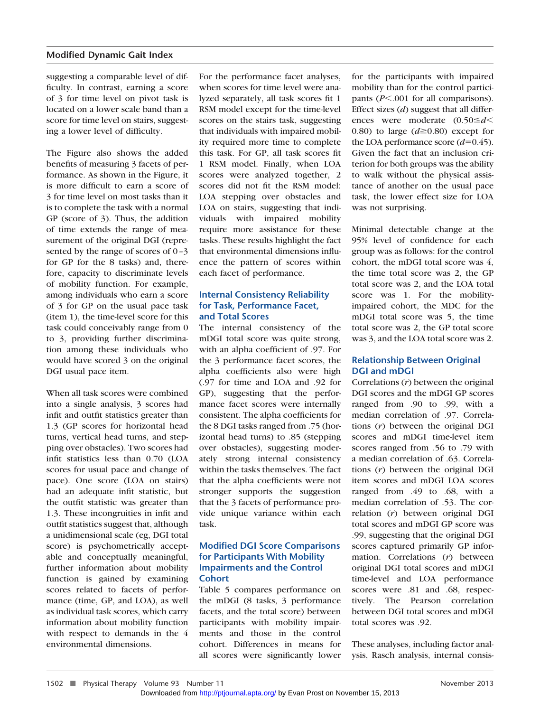suggesting a comparable level of difficulty. In contrast, earning a score of 3 for time level on pivot task is located on a lower scale band than a score for time level on stairs, suggesting a lower level of difficulty.

The Figure also shows the added benefits of measuring 3 facets of performance. As shown in the Figure, it is more difficult to earn a score of 3 for time level on most tasks than it is to complete the task with a normal GP (score of 3). Thus, the addition of time extends the range of measurement of the original DGI (represented by the range of scores of  $0-3$ for GP for the 8 tasks) and, therefore, capacity to discriminate levels of mobility function. For example, among individuals who earn a score of 3 for GP on the usual pace task (item 1), the time-level score for this task could conceivably range from 0 to 3, providing further discrimination among these individuals who would have scored 3 on the original DGI usual pace item.

When all task scores were combined into a single analysis, 3 scores had infit and outfit statistics greater than 1.3 (GP scores for horizontal head turns, vertical head turns, and stepping over obstacles). Two scores had infit statistics less than 0.70 (LOA scores for usual pace and change of pace). One score (LOA on stairs) had an adequate infit statistic, but the outfit statistic was greater than 1.3. These incongruities in infit and outfit statistics suggest that, although a unidimensional scale (eg, DGI total score) is psychometrically acceptable and conceptually meaningful, further information about mobility function is gained by examining scores related to facets of performance (time, GP, and LOA), as well as individual task scores, which carry information about mobility function with respect to demands in the 4 environmental dimensions.

For the performance facet analyses, when scores for time level were analyzed separately, all task scores fit 1 RSM model except for the time-level scores on the stairs task, suggesting that individuals with impaired mobility required more time to complete this task. For GP, all task scores fit 1 RSM model. Finally, when LOA scores were analyzed together, 2 scores did not fit the RSM model: LOA stepping over obstacles and LOA on stairs, suggesting that individuals with impaired mobility require more assistance for these tasks. These results highlight the fact that environmental dimensions influence the pattern of scores within each facet of performance.

## **Internal Consistency Reliability for Task, Performance Facet, and Total Scores**

The internal consistency of the mDGI total score was quite strong, with an alpha coefficient of .97. For the 3 performance facet scores, the alpha coefficients also were high (.97 for time and LOA and .92 for GP), suggesting that the performance facet scores were internally consistent. The alpha coefficients for the 8 DGI tasks ranged from .75 (horizontal head turns) to .85 (stepping over obstacles), suggesting moderately strong internal consistency within the tasks themselves. The fact that the alpha coefficients were not stronger supports the suggestion that the 3 facets of performance provide unique variance within each task.

#### **Modified DGI Score Comparisons for Participants With Mobility Impairments and the Control Cohort**

Table 5 compares performance on the mDGI (8 tasks, 3 performance facets, and the total score) between participants with mobility impairments and those in the control cohort. Differences in means for all scores were s[ignificantly lower](http://ptjournal.apta.org/) for the participants with impaired mobility than for the control participants  $(P < 0.001$  for all comparisons). Effect sizes (*d*) suggest that all differences were moderate  $(0.50 \leq d \leq$ 0.80) to large  $(d \ge 0.80)$  except for the LOA performance score  $(d=0.45)$ . Given the fact that an inclusion criterion for both groups was the ability to walk without the physical assistance of another on the usual pace task, the lower effect size for LOA was not surprising.

Minimal detectable change at the 95% level of confidence for each group was as follows: for the control cohort, the mDGI total score was 4, the time total score was 2, the GP total score was 2, and the LOA total score was 1. For the mobilityimpaired cohort, the MDC for the mDGI total score was 5, the time total score was 2, the GP total score was 3, and the LOA total score was 2.

## **Relationship Between Original DGI and mDGI**

Correlations (*r*) between the original DGI scores and the mDGI GP scores ranged from .90 to .99, with a median correlation of .97. Correlations (*r*) between the original DGI scores and mDGI time-level item scores ranged from .56 to .79 with a median correlation of .63. Correlations (*r*) between the original DGI item scores and mDGI LOA scores ranged from .49 to .68, with a median correlation of .53. The correlation (*r*) between original DGI total scores and mDGI GP score was .99, suggesting that the original DGI scores captured primarily GP information. Correlations (*r*) between original DGI total scores and mDGI time-level and LOA performance scores were .81 and .68, respectively. The Pearson correlation between DGI total scores and mDGI total scores was .92.

These analyses, including factor analysis, Rasch analysis, internal consis-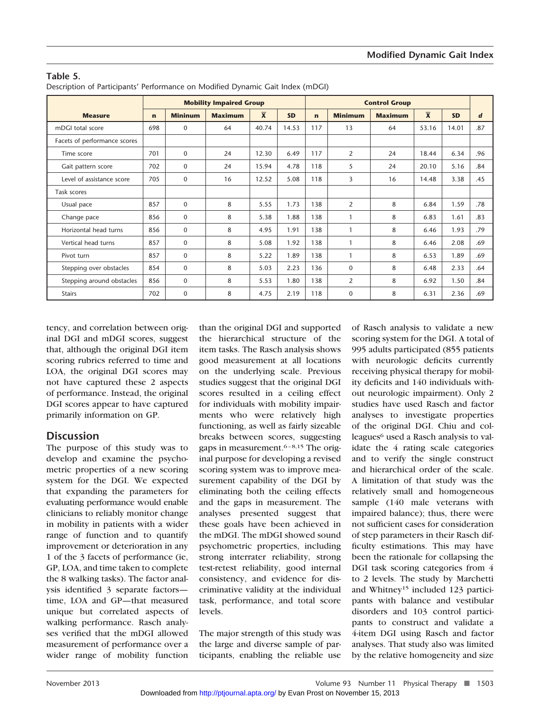tency, and correlation between original DGI and mDGI scores, suggest that, although the original DGI item scoring rubrics referred to time and LOA, the original DGI scores may not have captured these 2 aspects of performance. Instead, the original DGI scores appear to have captured primarily information on GP.

## **Discussion**

The purpose of this study was to develop and examine the psychometric properties of a new scoring system for the DGI. We expected that expanding the parameters for evaluating performance would enable clinicians to reliably monitor change in mobility in patients with a wider range of function and to quantify improvement or deterioration in any 1 of the 3 facets of performance (ie, GP, LOA, and time taken to complete the 8 walking tasks). The factor analysis identified 3 separate factors time, LOA and GP—that measured unique but correlated aspects of walking performance. Rasch analyses verified that the mDGI allowed measurement of performance over a wider range of mobility function

than the original DGI and supported the hierarchical structure of the item tasks. The Rasch analysis shows good measurement at all locations on the underlying scale. Previous studies suggest that the original DGI scores resulted in a ceiling effect for individuals with mobility impairments who were relatively high functioning, as well as fairly sizeable breaks between scores, suggesting gaps in measurement.6 – 8,15 The original purpose for developing a revised scoring system was to improve measurement capability of the DGI by eliminating both the ceiling effects and the gaps in measurement. The analyses presented suggest that these goals have been achieved in the mDGI. The mDGI showed sound psychometric properties, including strong interrater reliability, strong test-retest reliability, good internal consistency, and evidence for discriminative validity at the individual task, performance, and total score levels.

The major strength of this study was the large and diverse sample of participants, enablin[g the reliable use](http://ptjournal.apta.org/)

of Rasch analysis to validate a new scoring system for the DGI. A total of 995 adults participated (855 patients with neurologic deficits currently receiving physical therapy for mobility deficits and 140 individuals without neurologic impairment). Only 2 studies have used Rasch and factor analyses to investigate properties of the original DGI. Chiu and colleagues<sup>6</sup> used a Rasch analysis to validate the 4 rating scale categories and to verify the single construct and hierarchical order of the scale. A limitation of that study was the relatively small and homogeneous sample (140 male veterans with impaired balance); thus, there were not sufficient cases for consideration of step parameters in their Rasch difficulty estimations. This may have been the rationale for collapsing the DGI task scoring categories from 4 to 2 levels. The study by Marchetti and Whitney<sup>15</sup> included 123 participants with balance and vestibular disorders and 103 control participants to construct and validate a 4-item DGI using Rasch and factor analyses. That study also was limited by the relative homogeneity and size

| Table 5.                                                                       |  |
|--------------------------------------------------------------------------------|--|
| Description of Participants' Performance on Modified Dynamic Gait Index (mDGI) |  |

|                              |              |                | <b>Mobility Impaired Group</b> |                         |           |              | <b>Control Group</b> |                |                         |           |     |  |
|------------------------------|--------------|----------------|--------------------------------|-------------------------|-----------|--------------|----------------------|----------------|-------------------------|-----------|-----|--|
| <b>Measure</b>               | $\mathbf{r}$ | <b>Mininum</b> | <b>Maximum</b>                 | $\overline{\mathbf{x}}$ | <b>SD</b> | $\mathbf{r}$ | <b>Minimum</b>       | <b>Maximum</b> | $\overline{\mathbf{x}}$ | <b>SD</b> | d   |  |
| mDGI total score             | 698          | $\Omega$       | 64                             | 40.74                   | 14.53     | 117          | 13                   | 64             | 53.16                   | 14.01     | .87 |  |
| Facets of performance scores |              |                |                                |                         |           |              |                      |                |                         |           |     |  |
| Time score                   | 701          | $\Omega$       | 24                             | 12.30                   | 6.49      | 117          | 2                    | 24             | 18.44                   | 6.34      | .96 |  |
| Gait pattern score           | 702          | $\Omega$       | 24                             | 15.94                   | 4.78      | 118          | 5                    | 24             | 20.10                   | 5.16      | .84 |  |
| Level of assistance score    | 705          | $\Omega$       | 16                             | 12.52                   | 5.08      | 118          | 3                    | 16             | 14.48                   | 3.38      | .45 |  |
| Task scores                  |              |                |                                |                         |           |              |                      |                |                         |           |     |  |
| Usual pace                   | 857          | $\Omega$       | 8                              | 5.55                    | 1.73      | 138          | $\overline{2}$       | 8              | 6.84                    | 1.59      | .78 |  |
| Change pace                  | 856          | $\Omega$       | 8                              | 5.38                    | 1.88      | 138          |                      | 8              | 6.83                    | 1.61      | .83 |  |
| Horizontal head turns        | 856          | $\mathbf{0}$   | 8                              | 4.95                    | 1.91      | 138          | $\mathbf{1}$         | 8              | 6.46                    | 1.93      | .79 |  |
| Vertical head turns          | 857          | $\Omega$       | 8                              | 5.08                    | 1.92      | 138          | $\mathbf{1}$         | 8              | 6.46                    | 2.08      | .69 |  |
| Pivot turn                   | 857          | $\Omega$       | 8                              | 5.22                    | 1.89      | 138          | $\mathbf{1}$         | 8              | 6.53                    | 1.89      | .69 |  |
| Stepping over obstacles      | 854          | $\mathbf 0$    | 8                              | 5.03                    | 2.23      | 136          | $\Omega$             | 8              | 6.48                    | 2.33      | .64 |  |
| Stepping around obstacles    | 856          | $\Omega$       | 8                              | 5.53                    | 1.80      | 138          | $\overline{2}$       | 8              | 6.92                    | 1.50      | .84 |  |
| <b>Stairs</b>                | 702          | $\Omega$       | 8                              | 4.75                    | 2.19      | 118          | $\Omega$             | 8              | 6.31                    | 2.36      | .69 |  |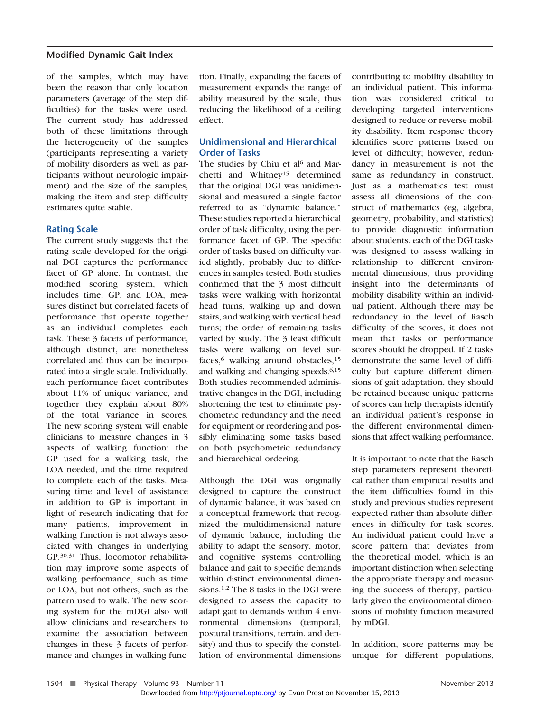of the samples, which may have been the reason that only location parameters (average of the step difficulties) for the tasks were used. The current study has addressed both of these limitations through the heterogeneity of the samples (participants representing a variety of mobility disorders as well as participants without neurologic impairment) and the size of the samples, making the item and step difficulty estimates quite stable.

## **Rating Scale**

The current study suggests that the rating scale developed for the original DGI captures the performance facet of GP alone. In contrast, the modified scoring system, which includes time, GP, and LOA, measures distinct but correlated facets of performance that operate together as an individual completes each task. These 3 facets of performance, although distinct, are nonetheless correlated and thus can be incorporated into a single scale. Individually, each performance facet contributes about 11% of unique variance, and together they explain about 80% of the total variance in scores. The new scoring system will enable clinicians to measure changes in 3 aspects of walking function: the GP used for a walking task, the LOA needed, and the time required to complete each of the tasks. Measuring time and level of assistance in addition to GP is important in light of research indicating that for many patients, improvement in walking function is not always associated with changes in underlying GP.30,31 Thus, locomotor rehabilitation may improve some aspects of walking performance, such as time or LOA, but not others, such as the pattern used to walk. The new scoring system for the mDGI also will allow clinicians and researchers to examine the association between changes in these 3 facets of performance and changes in walking func-

tion. Finally, expanding the facets of measurement expands the range of ability measured by the scale, thus reducing the likelihood of a ceiling effect.

## **Unidimensional and Hierarchical Order of Tasks**

The studies by Chiu et al<sup>6</sup> and Marchetti and Whitney<sup>15</sup> determined that the original DGI was unidimensional and measured a single factor referred to as "dynamic balance." These studies reported a hierarchical order of task difficulty, using the performance facet of GP. The specific order of tasks based on difficulty varied slightly, probably due to differences in samples tested. Both studies confirmed that the 3 most difficult tasks were walking with horizontal head turns, walking up and down stairs, and walking with vertical head turns; the order of remaining tasks varied by study. The 3 least difficult tasks were walking on level surfaces,<sup>6</sup> walking around obstacles,<sup>15</sup> and walking and changing speeds.6,15 Both studies recommended administrative changes in the DGI, including shortening the test to eliminate psychometric redundancy and the need for equipment or reordering and possibly eliminating some tasks based on both psychometric redundancy and hierarchical ordering.

Although the DGI was originally designed to capture the construct of dynamic balance, it was based on a conceptual framework that recognized the multidimensional nature of dynamic balance, including the ability to adapt the sensory, motor, and cognitive systems controlling balance and gait to specific demands within distinct environmental dimensions.1,2 The 8 tasks in the DGI were designed to assess the capacity to adapt gait to demands within 4 environmental dimensions (temporal, postural transitions, terrain, and density) and thus to specify the constellation of environ[mental dimensions](http://ptjournal.apta.org/) contributing to mobility disability in an individual patient. This information was considered critical to developing targeted interventions designed to reduce or reverse mobility disability. Item response theory identifies score patterns based on level of difficulty; however, redundancy in measurement is not the same as redundancy in construct. Just as a mathematics test must assess all dimensions of the construct of mathematics (eg, algebra, geometry, probability, and statistics) to provide diagnostic information about students, each of the DGI tasks was designed to assess walking in relationship to different environmental dimensions, thus providing insight into the determinants of mobility disability within an individual patient. Although there may be redundancy in the level of Rasch difficulty of the scores, it does not mean that tasks or performance scores should be dropped. If 2 tasks demonstrate the same level of difficulty but capture different dimensions of gait adaptation, they should be retained because unique patterns of scores can help therapists identify an individual patient's response in the different environmental dimensions that affect walking performance.

It is important to note that the Rasch step parameters represent theoretical rather than empirical results and the item difficulties found in this study and previous studies represent expected rather than absolute differences in difficulty for task scores. An individual patient could have a score pattern that deviates from the theoretical model, which is an important distinction when selecting the appropriate therapy and measuring the success of therapy, particularly given the environmental dimensions of mobility function measured by mDGI.

In addition, score patterns may be unique for different populations,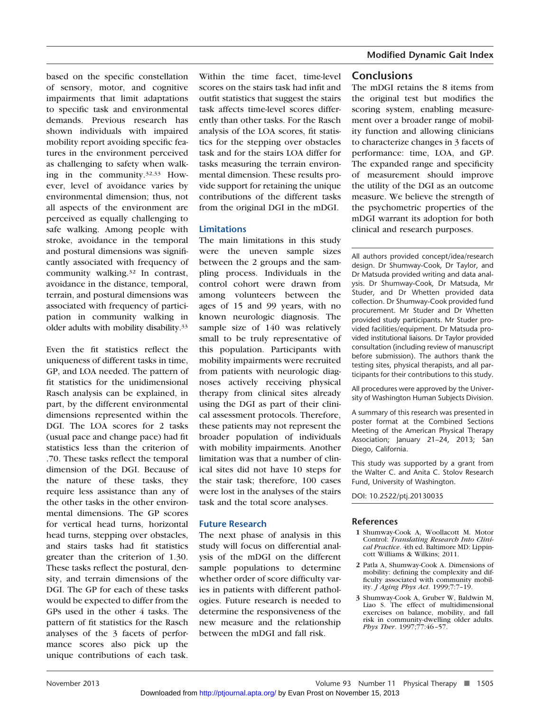based on the specific constellation of sensory, motor, and cognitive impairments that limit adaptations to specific task and environmental demands. Previous research has shown individuals with impaired mobility report avoiding specific features in the environment perceived as challenging to safety when walking in the community.32,33 However, level of avoidance varies by environmental dimension; thus, not all aspects of the environment are perceived as equally challenging to safe walking. Among people with stroke, avoidance in the temporal and postural dimensions was significantly associated with frequency of community walking.32 In contrast, avoidance in the distance, temporal, terrain, and postural dimensions was associated with frequency of participation in community walking in older adults with mobility disability.33

Even the fit statistics reflect the uniqueness of different tasks in time, GP, and LOA needed. The pattern of fit statistics for the unidimensional Rasch analysis can be explained, in part, by the different environmental dimensions represented within the DGI. The LOA scores for 2 tasks (usual pace and change pace) had fit statistics less than the criterion of .70. These tasks reflect the temporal dimension of the DGI. Because of the nature of these tasks, they require less assistance than any of the other tasks in the other environmental dimensions. The GP scores for vertical head turns, horizontal head turns, stepping over obstacles, and stairs tasks had fit statistics greater than the criterion of 1.30. These tasks reflect the postural, density, and terrain dimensions of the DGI. The GP for each of these tasks would be expected to differ from the GPs used in the other 4 tasks. The pattern of fit statistics for the Rasch analyses of the 3 facets of performance scores also pick up the unique contributions of each task.

Within the time facet, time-level scores on the stairs task had infit and outfit statistics that suggest the stairs task affects time-level scores differently than other tasks. For the Rasch analysis of the LOA scores, fit statistics for the stepping over obstacles task and for the stairs LOA differ for tasks measuring the terrain environmental dimension. These results provide support for retaining the unique contributions of the different tasks from the original DGI in the mDGI.

#### **Limitations**

The main limitations in this study were the uneven sample sizes between the 2 groups and the sampling process. Individuals in the control cohort were drawn from among volunteers between the ages of 15 and 99 years, with no known neurologic diagnosis. The sample size of 140 was relatively small to be truly representative of this population. Participants with mobility impairments were recruited from patients with neurologic diagnoses actively receiving physical therapy from clinical sites already using the DGI as part of their clinical assessment protocols. Therefore, these patients may not represent the broader population of individuals with mobility impairments. Another limitation was that a number of clinical sites did not have 10 steps for the stair task; therefore, 100 cases were lost in the analyses of the stairs task and the total score analyses.

#### **Future Research**

The next phase of analysis in this study will focus on differential analysis of the mDGI on the different sample populations to determine whether order of score difficulty varies in patients with different pathologies. Future research is needed to determine the responsiveness of the new measure and the relationship between the mDGI and fall risk.

## **Conclusions**

The mDGI retains the 8 items from the original test but modifies the scoring system, enabling measurement over a broader range of mobility function and allowing clinicians to characterize changes in 3 facets of performance: time, LOA, and GP. The expanded range and specificity of measurement should improve the utility of the DGI as an outcome measure. We believe the strength of the psychometric properties of the mDGI warrant its adoption for both clinical and research purposes.

All authors provided concept/idea/research design. Dr Shumway-Cook, Dr Taylor, and Dr Matsuda provided writing and data analysis. Dr Shumway-Cook, Dr Matsuda, Mr Studer, and Dr Whetten provided data collection. Dr Shumway-Cook provided fund procurement. Mr Studer and Dr Whetten provided study participants. Mr Studer provided facilities/equipment. Dr Matsuda provided institutional liaisons. Dr Taylor provided consultation (including review of manuscript before submission). The authors thank the testing sites, physical therapists, and all participants for their contributions to this study.

All procedures were approved by the University of Washington Human Subjects Division.

A summary of this research was presented in poster format at the Combined Sections Meeting of the American Physical Therapy Association; January 21-24, 2013; San Diego, California.

This study was supported by a grant from the Walter C. and Anita C. Stolov Research Fund, University of Washington.

DOI: 10.2522/ptj.20130035

## **References**

- **1** Shumway-Cook A, Woollacott M. Motor Control: *Translating Research Into Clinical Practice*. 4th ed. Baltimore MD: Lippincott Williams & Wilkins; 2011.
- **2** Patla A, Shumway-Cook A. Dimensions of mobility: defining the complexity and difficulty associated with community mobility. *J Aging Phys Act*. 1999;7:7–19.
- **3** Shumway-Cook A, Gruber W, Baldwin M, Liao S. The effect of multidimensional exercises on balance, mobility, and fall risk in community-dwelling older adults. *Phys Ther*. 1997;77:46 –57.